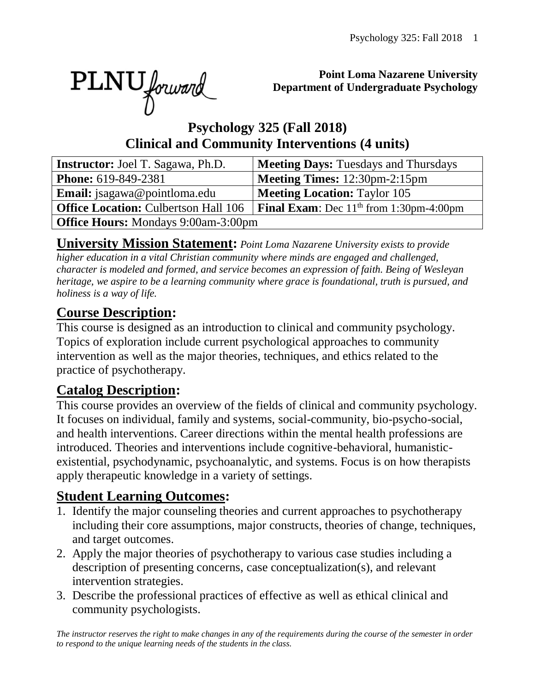PLNU forward

#### **Point Loma Nazarene University Department of Undergraduate Psychology**

## **Psychology 325 (Fall 2018) Clinical and Community Interventions (4 units)**

| <b>Instructor:</b> Joel T. Sagawa, Ph.D.    | <b>Meeting Days: Tuesdays and Thursdays</b>      |  |  |  |  |
|---------------------------------------------|--------------------------------------------------|--|--|--|--|
| <b>Phone:</b> 619-849-2381                  | <b>Meeting Times:</b> 12:30pm-2:15pm             |  |  |  |  |
| <b>Email:</b> jsagawa@pointloma.edu         | <b>Meeting Location: Taylor 105</b>              |  |  |  |  |
| <b>Office Location: Culbertson Hall 106</b> | <b>Final Exam:</b> Dec $11th$ from 1:30pm-4:00pm |  |  |  |  |
| <b>Office Hours:</b> Mondays 9:00am-3:00pm  |                                                  |  |  |  |  |

**University Mission Statement:** *Point Loma Nazarene University exists to provide higher education in a vital Christian community where minds are engaged and challenged, character is modeled and formed, and service becomes an expression of faith. Being of Wesleyan heritage, we aspire to be a learning community where grace is foundational, truth is pursued, and holiness is a way of life.*

# **Course Description:**

This course is designed as an introduction to clinical and community psychology. Topics of exploration include current psychological approaches to community intervention as well as the major theories, techniques, and ethics related to the practice of psychotherapy.

# **Catalog Description:**

This course provides an overview of the fields of clinical and community psychology. It focuses on individual, family and systems, social-community, bio-psycho-social, and health interventions. Career directions within the mental health professions are introduced. Theories and interventions include cognitive-behavioral, humanisticexistential, psychodynamic, psychoanalytic, and systems. Focus is on how therapists apply therapeutic knowledge in a variety of settings.

# **Student Learning Outcomes:**

- 1. Identify the major counseling theories and current approaches to psychotherapy including their core assumptions, major constructs, theories of change, techniques, and target outcomes.
- 2. Apply the major theories of psychotherapy to various case studies including a description of presenting concerns, case conceptualization(s), and relevant intervention strategies.
- 3. Describe the professional practices of effective as well as ethical clinical and community psychologists.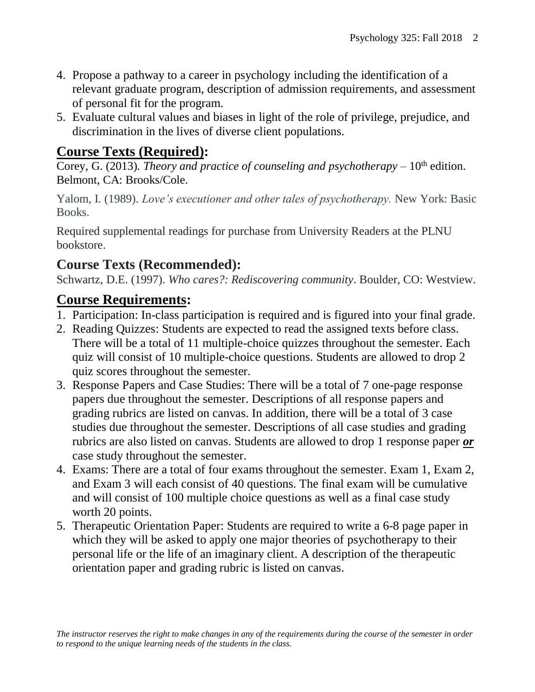- 4. Propose a pathway to a career in psychology including the identification of a relevant graduate program, description of admission requirements, and assessment of personal fit for the program.
- 5. Evaluate cultural values and biases in light of the role of privilege, prejudice, and discrimination in the lives of diverse client populations.

### **Course Texts (Required):**

Corey, G. (2013). *Theory and practice of counseling and psychotherapy* – 10<sup>th</sup> edition. Belmont, CA: Brooks/Cole.

Yalom, I. (1989). *Love's executioner and other tales of psychotherapy.* New York: Basic Books.

Required supplemental readings for purchase from University Readers at the PLNU bookstore.

# **Course Texts (Recommended):**

Schwartz, D.E. (1997). *Who cares?: Rediscovering community*. Boulder, CO: Westview.

### **Course Requirements:**

- 1. Participation: In-class participation is required and is figured into your final grade.
- 2. Reading Quizzes: Students are expected to read the assigned texts before class. There will be a total of 11 multiple-choice quizzes throughout the semester. Each quiz will consist of 10 multiple-choice questions. Students are allowed to drop 2 quiz scores throughout the semester.
- 3. Response Papers and Case Studies: There will be a total of 7 one-page response papers due throughout the semester. Descriptions of all response papers and grading rubrics are listed on canvas. In addition, there will be a total of 3 case studies due throughout the semester. Descriptions of all case studies and grading rubrics are also listed on canvas. Students are allowed to drop 1 response paper *or* case study throughout the semester.
- 4. Exams: There are a total of four exams throughout the semester. Exam 1, Exam 2, and Exam 3 will each consist of 40 questions. The final exam will be cumulative and will consist of 100 multiple choice questions as well as a final case study worth 20 points.
- 5. Therapeutic Orientation Paper: Students are required to write a 6-8 page paper in which they will be asked to apply one major theories of psychotherapy to their personal life or the life of an imaginary client. A description of the therapeutic orientation paper and grading rubric is listed on canvas.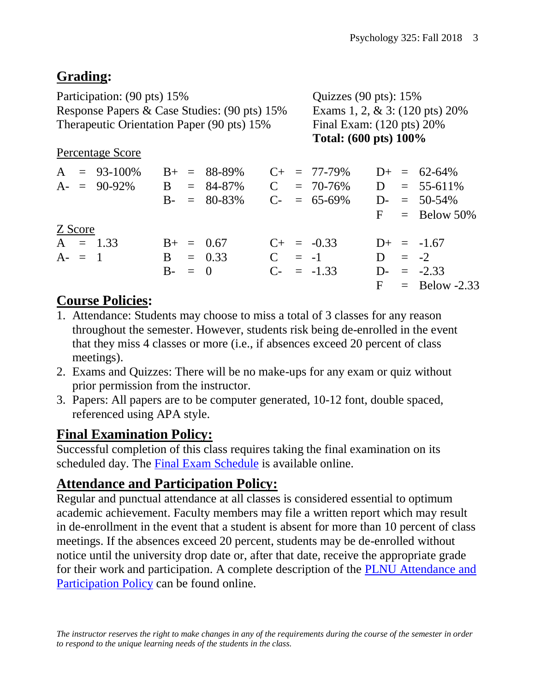# **Grading:**

Participation: (90 pts) 15% Quizzes (90 pts): 15% Response Papers & Case Studies: (90 pts) 15% Exams 1, 2, & 3: (120 pts) 20% Therapeutic Orientation Paper (90 pts) 15% Final Exam: (120 pts) 20%

**Total: (600 pts) 100%**

#### Percentage Score

| $A = 93-100\%$<br>$A = 90-92\%$ |                | $B_{+}$ = 88-89%<br>$B = 84-87\%$<br>$B - = 80-83\%$ |  | $C_{+}$ = 77-79%<br>$C = 70-76\%$ D = 55-611%<br>$C_{-}$ = 65-69% |  | $D_{+}$ = 62-64%<br>$D = 50-54\%$<br>$F =$ Below 50% |
|---------------------------------|----------------|------------------------------------------------------|--|-------------------------------------------------------------------|--|------------------------------------------------------|
| Z Score                         |                |                                                      |  |                                                                   |  |                                                      |
| $A = 1.33$                      | $B_{+} = 0.67$ |                                                      |  | $C_{+}$ = -0.33                                                   |  | $D_{+} = -1.67$                                      |
| $A - = 1$                       | $B = 0.33$     |                                                      |  | $C = -1$                                                          |  | $D = -2$                                             |
|                                 | $B - = 0$      |                                                      |  | $C_{-} = -1.33$                                                   |  | $D = -2.33$                                          |
|                                 |                |                                                      |  |                                                                   |  | $F =$ Below -2.33                                    |

## **Course Policies:**

- 1. Attendance: Students may choose to miss a total of 3 classes for any reason throughout the semester. However, students risk being de-enrolled in the event that they miss 4 classes or more (i.e., if absences exceed 20 percent of class meetings).
- 2. Exams and Quizzes: There will be no make-ups for any exam or quiz without prior permission from the instructor.
- 3. Papers: All papers are to be computer generated, 10-12 font, double spaced, referenced using APA style.

# **Final Examination Policy:**

Successful completion of this class requires taking the final examination on its scheduled day. The [Final Exam Schedule](http://www.pointloma.edu/experience/academics/class-schedules) is available online.

### **Attendance and Participation Policy:**

Regular and punctual attendance at all classes is considered essential to optimum academic achievement. Faculty members may file a written report which may result in de-enrollment in the event that a student is absent for more than 10 percent of class meetings. If the absences exceed 20 percent, students may be de-enrolled without notice until the university drop date or, after that date, receive the appropriate grade for their work and participation. A complete description of the [PLNU Attendance](http://catalog.pointloma.edu/content.php?catoid=18&navoid=1278#Class_Attendance) and [Participation](http://catalog.pointloma.edu/content.php?catoid=18&navoid=1278#Class_Attendance) Policy can be found online.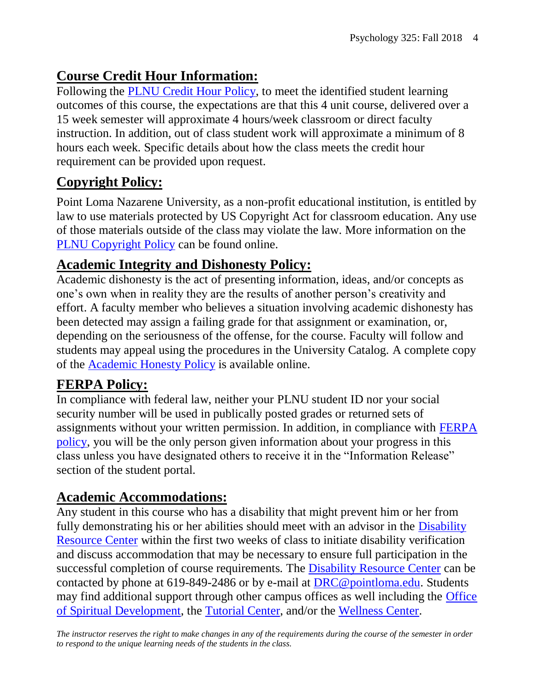# **Course Credit Hour Information:**

Following the [PLNU Credit Hour Policy,](http://catalog.pointloma.edu/content.php?catoid=18&navoid=1278#Credit_Hour_Definition) to meet the identified student learning outcomes of this course, the expectations are that this 4 unit course, delivered over a 15 week semester will approximate 4 hours/week classroom or direct faculty instruction. In addition, out of class student work will approximate a minimum of 8 hours each week. Specific details about how the class meets the credit hour requirement can be provided upon request.

# **Copyright Policy:**

Point Loma Nazarene University, as a non-profit educational institution, is entitled by law to use materials protected by US Copyright Act for classroom education. Any use of those materials outside of the class may violate the law. More information on the [PLNU Copyright Policy](http://libguides.pointloma.edu/content.php?pid=203591&sid=1700398) can be found online.

#### **Academic Integrity and Dishonesty Policy:**

Academic dishonesty is the act of presenting information, ideas, and/or concepts as one's own when in reality they are the results of another person's creativity and effort. A faculty member who believes a situation involving academic dishonesty has been detected may assign a failing grade for that assignment or examination, or, depending on the seriousness of the offense, for the course. Faculty will follow and students may appeal using the procedures in the University Catalog. A complete copy of the [Academic Honesty Policy](http://catalog.pointloma.edu/content.php?catoid=18&navoid=1278#Academic_Honesty) is available online.

### **FERPA Policy:**

In compliance with federal law, neither your PLNU student ID nor your social security number will be used in publically posted grades or returned sets of assignments without your written permission. In addition, in compliance with [FERPA](http://catalog.pointloma.edu/content.php?catoid=18&navoid=1278#Education_Records__FERPA__and_Directory_Information)  [policy,](http://catalog.pointloma.edu/content.php?catoid=18&navoid=1278#Education_Records__FERPA__and_Directory_Information) you will be the only person given information about your progress in this class unless you have designated others to receive it in the "Information Release" section of the student portal.

#### **Academic Accommodations:**

Any student in this course who has a disability that might prevent him or her from fully demonstrating his or her abilities should meet with an advisor in the Disability [Resource Center](http://www.pointloma.edu/experience/offices/administrative-offices/academic-advising-office/disability-resource-center) within the first two weeks of class to initiate disability verification and discuss accommodation that may be necessary to ensure full participation in the successful completion of course requirements. The [Disability Resource Center](http://www.pointloma.edu/experience/offices/administrative-offices/academic-advising-office/disability-resource-center) can be contacted by phone at 619-849-2486 or by e-mail at [DRC@pointloma.edu.](mailto:DRC@pointloma.edu) Students may find additional support through other campus offices as well including the [Office](https://www.pointloma.edu/offices/spiritual-development)  [of Spiritual Development,](https://www.pointloma.edu/offices/spiritual-development) the [Tutorial Center,](https://www.pointloma.edu/offices/tutorial-services) and/or the [Wellness Center.](https://www.pointloma.edu/offices/wellness-center)

*The instructor reserves the right to make changes in any of the requirements during the course of the semester in order to respond to the unique learning needs of the students in the class.*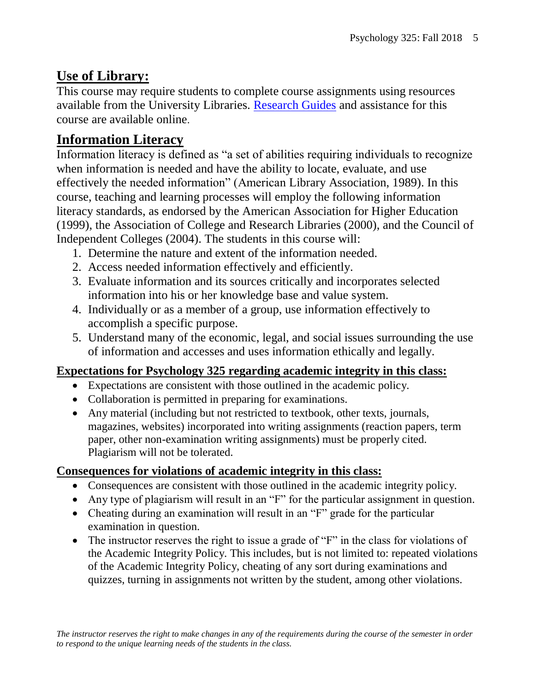# **Use of Library:**

This course may require students to complete course assignments using resources available from the University Libraries. [Research Guides](http://libguides.pointloma.edu/ResearchGuides) and assistance for this course are available online.

# **Information Literacy**

Information literacy is defined as "a set of abilities requiring individuals to recognize when information is needed and have the ability to locate, evaluate, and use effectively the needed information" (American Library Association, 1989). In this course, teaching and learning processes will employ the following information literacy standards, as endorsed by the American Association for Higher Education (1999), the Association of College and Research Libraries (2000), and the Council of Independent Colleges (2004). The students in this course will:

- 1. Determine the nature and extent of the information needed.
- 2. Access needed information effectively and efficiently.
- 3. Evaluate information and its sources critically and incorporates selected information into his or her knowledge base and value system.
- 4. Individually or as a member of a group, use information effectively to accomplish a specific purpose.
- 5. Understand many of the economic, legal, and social issues surrounding the use of information and accesses and uses information ethically and legally.

#### **Expectations for Psychology 325 regarding academic integrity in this class:**

- Expectations are consistent with those outlined in the academic policy.
- Collaboration is permitted in preparing for examinations.
- Any material (including but not restricted to textbook, other texts, journals, magazines, websites) incorporated into writing assignments (reaction papers, term paper, other non-examination writing assignments) must be properly cited. Plagiarism will not be tolerated.

#### **Consequences for violations of academic integrity in this class:**

- Consequences are consistent with those outlined in the academic integrity policy.
- Any type of plagiarism will result in an "F" for the particular assignment in question.
- Cheating during an examination will result in an "F" grade for the particular examination in question.
- The instructor reserves the right to issue a grade of "F" in the class for violations of the Academic Integrity Policy. This includes, but is not limited to: repeated violations of the Academic Integrity Policy, cheating of any sort during examinations and quizzes, turning in assignments not written by the student, among other violations.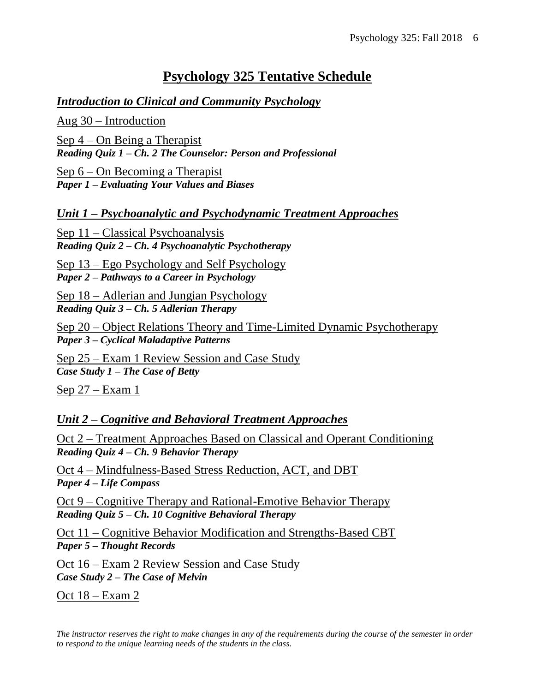### **Psychology 325 Tentative Schedule**

#### *Introduction to Clinical and Community Psychology*

Aug 30 – Introduction

Sep 4 – On Being a Therapist *Reading Quiz 1 – Ch. 2 The Counselor: Person and Professional*

Sep 6 – On Becoming a Therapist *Paper 1 – Evaluating Your Values and Biases*

*Unit 1 – Psychoanalytic and Psychodynamic Treatment Approaches*

Sep 11 – Classical Psychoanalysis *Reading Quiz 2 – Ch. 4 Psychoanalytic Psychotherapy*

Sep 13 – Ego Psychology and Self Psychology *Paper 2 – Pathways to a Career in Psychology*

Sep 18 – Adlerian and Jungian Psychology *Reading Quiz 3 – Ch. 5 Adlerian Therapy*

Sep 20 – Object Relations Theory and Time-Limited Dynamic Psychotherapy *Paper 3 – Cyclical Maladaptive Patterns*

Sep 25 – Exam 1 Review Session and Case Study *Case Study 1 – The Case of Betty*

Sep 27 – Exam 1

#### *Unit 2 – Cognitive and Behavioral Treatment Approaches*

Oct 2 – Treatment Approaches Based on Classical and Operant Conditioning *Reading Quiz 4 – Ch. 9 Behavior Therapy* 

Oct 4 – Mindfulness-Based Stress Reduction, ACT, and DBT *Paper 4 – Life Compass*

Oct 9 – Cognitive Therapy and Rational-Emotive Behavior Therapy *Reading Quiz 5 – Ch. 10 Cognitive Behavioral Therapy*

Oct 11 – Cognitive Behavior Modification and Strengths-Based CBT *Paper 5 – Thought Records*

Oct 16 – Exam 2 Review Session and Case Study *Case Study 2 – The Case of Melvin*

Oct 18 – Exam 2